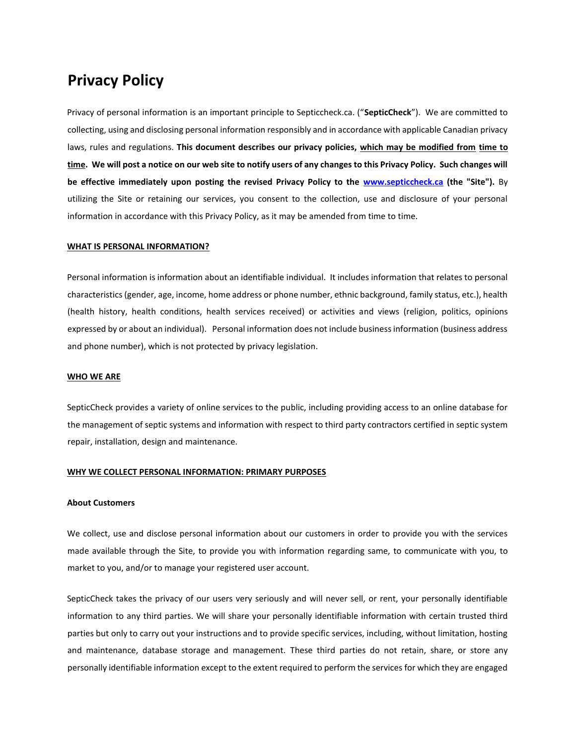# **Privacy Policy**

Privacy of personal information is an important principle to Septiccheck.ca. ("**SepticCheck**"). We are committed to collecting, using and disclosing personal information responsibly and in accordance with applicable Canadian privacy laws, rules and regulations. **This document describes our privacy policies, which may be modified from time to time. We will post a notice on our web site to notify users of any changes to this Privacy Policy. Such changes will be effective immediately upon posting the revised Privacy Policy to the www.septiccheck.ca (the "Site").** By utilizing the Site or retaining our services, you consent to the collection, use and disclosure of your personal information in accordance with this Privacy Policy, as it may be amended from time to time.

#### **WHAT IS PERSONAL INFORMATION?**

Personal information is information about an identifiable individual. It includes information that relates to personal characteristics (gender, age, income, home address or phone number, ethnic background, family status, etc.), health (health history, health conditions, health services received) or activities and views (religion, politics, opinions expressed by or about an individual). Personal information does not include business information (business address and phone number), which is not protected by privacy legislation.

### **WHO WE ARE**

SepticCheck provides a variety of online services to the public, including providing access to an online database for the management of septic systems and information with respect to third party contractors certified in septic system repair, installation, design and maintenance.

#### **WHY WE COLLECT PERSONAL INFORMATION: PRIMARY PURPOSES**

### **About Customers**

We collect, use and disclose personal information about our customers in order to provide you with the services made available through the Site, to provide you with information regarding same, to communicate with you, to market to you, and/or to manage your registered user account.

SepticCheck takes the privacy of our users very seriously and will never sell, or rent, your personally identifiable information to any third parties. We will share your personally identifiable information with certain trusted third parties but only to carry out your instructions and to provide specific services, including, without limitation, hosting and maintenance, database storage and management. These third parties do not retain, share, or store any personally identifiable information except to the extent required to perform the services for which they are engaged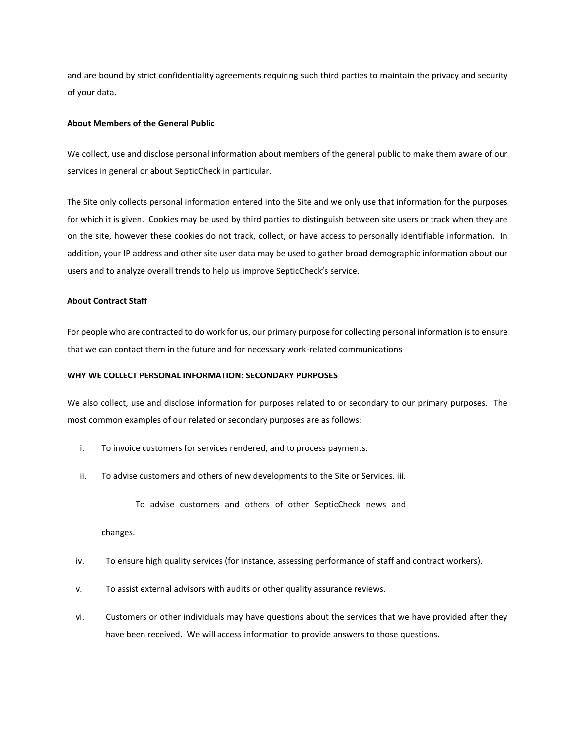and are bound by strict confidentiality agreements requiring such third parties to maintain the privacy and security of your data.

## **About Members of the General Public**

We collect, use and disclose personal information about members of the general public to make them aware of our services in general or about SepticCheck in particular.

The Site only collects personal information entered into the Site and we only use that information for the purposes for which it is given. Cookies may be used by third parties to distinguish between site users or track when they are on the site, however these cookies do not track, collect, or have access to personally identifiable information. In addition, your IP address and other site user data may be used to gather broad demographic information about our users and to analyze overall trends to help us improve SepticCheck's service.

## **About Contract Staff**

For people who are contracted to do work for us, our primary purpose for collecting personal information is to ensure that we can contact them in the future and for necessary work-related communications

#### **WHY WE COLLECT PERSONAL INFORMATION: SECONDARY PURPOSES**

We also collect, use and disclose information for purposes related to or secondary to our primary purposes. The most common examples of our related or secondary purposes are as follows:

- i. To invoice customers for services rendered, and to process payments.
- ii. To advise customers and others of new developments to the Site or Services. iii.
	- To advise customers and others of other SepticCheck news and

changes.

- iv. To ensure high quality services (for instance, assessing performance of staff and contract workers).
- v. To assist external advisors with audits or other quality assurance reviews.
- vi. Customers or other individuals may have questions about the services that we have provided after they have been received. We will access information to provide answers to those questions.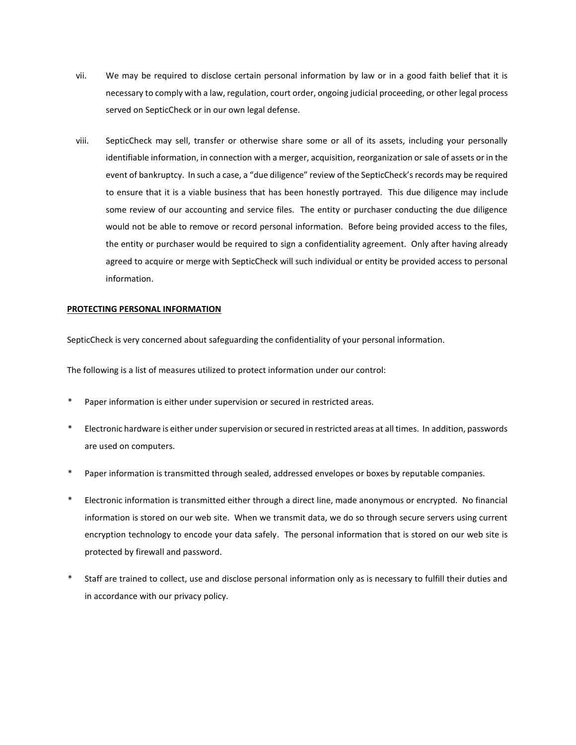- vii. We may be required to disclose certain personal information by law or in a good faith belief that it is necessary to comply with a law, regulation, court order, ongoing judicial proceeding, or other legal process served on SepticCheck or in our own legal defense.
- viii. SepticCheck may sell, transfer or otherwise share some or all of its assets, including your personally identifiable information, in connection with a merger, acquisition, reorganization or sale of assets or in the event of bankruptcy. In such a case, a "due diligence" review of the SepticCheck's records may be required to ensure that it is a viable business that has been honestly portrayed. This due diligence may include some review of our accounting and service files. The entity or purchaser conducting the due diligence would not be able to remove or record personal information. Before being provided access to the files, the entity or purchaser would be required to sign a confidentiality agreement. Only after having already agreed to acquire or merge with SepticCheck will such individual or entity be provided access to personal information.

### **PROTECTING PERSONAL INFORMATION**

SepticCheck is very concerned about safeguarding the confidentiality of your personal information.

The following is a list of measures utilized to protect information under our control:

- Paper information is either under supervision or secured in restricted areas.
- \* Electronic hardware is either under supervision or secured in restricted areas at all times. In addition, passwords are used on computers.
- Paper information is transmitted through sealed, addressed envelopes or boxes by reputable companies.
- \* Electronic information is transmitted either through a direct line, made anonymous or encrypted. No financial information is stored on our web site. When we transmit data, we do so through secure servers using current encryption technology to encode your data safely. The personal information that is stored on our web site is protected by firewall and password.
- Staff are trained to collect, use and disclose personal information only as is necessary to fulfill their duties and in accordance with our privacy policy.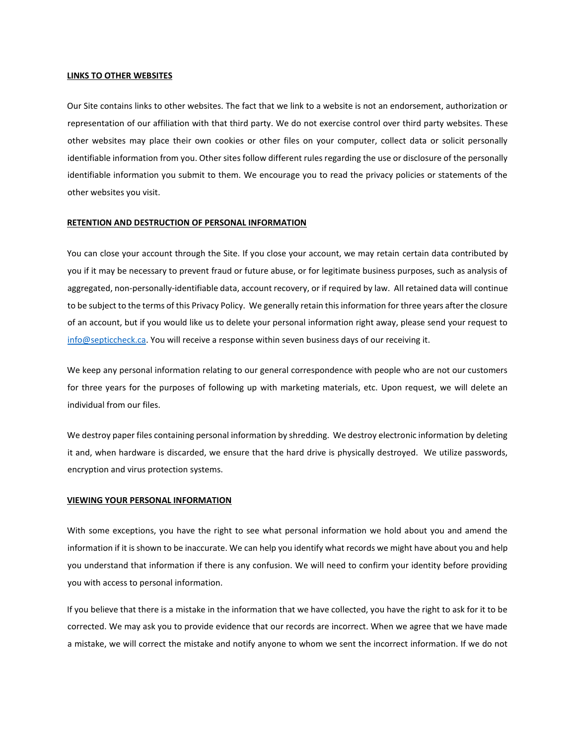#### **LINKS TO OTHER WEBSITES**

Our Site contains links to other websites. The fact that we link to a website is not an endorsement, authorization or representation of our affiliation with that third party. We do not exercise control over third party websites. These other websites may place their own cookies or other files on your computer, collect data or solicit personally identifiable information from you. Other sites follow different rules regarding the use or disclosure of the personally identifiable information you submit to them. We encourage you to read the privacy policies or statements of the other websites you visit.

## **RETENTION AND DESTRUCTION OF PERSONAL INFORMATION**

You can close your account through the Site. If you close your account, we may retain certain data contributed by you if it may be necessary to prevent fraud or future abuse, or for legitimate business purposes, such as analysis of aggregated, non-personally-identifiable data, account recovery, or if required by law. All retained data will continue to be subject to the terms of this Privacy Policy. We generally retain this information for three years after the closure of an account, but if you would like us to delete your personal information right away, please send your request to [info@septiccheck.ca.](mailto:info@septiccheck.ca) You will receive a response within seven business days of our receiving it.

We keep any personal information relating to our general correspondence with people who are not our customers for three years for the purposes of following up with marketing materials, etc. Upon request, we will delete an individual from our files.

We destroy paper files containing personal information by shredding. We destroy electronic information by deleting it and, when hardware is discarded, we ensure that the hard drive is physically destroyed. We utilize passwords, encryption and virus protection systems.

#### **VIEWING YOUR PERSONAL INFORMATION**

With some exceptions, you have the right to see what personal information we hold about you and amend the information if it is shown to be inaccurate. We can help you identify what records we might have about you and help you understand that information if there is any confusion. We will need to confirm your identity before providing you with access to personal information.

If you believe that there is a mistake in the information that we have collected, you have the right to ask for it to be corrected. We may ask you to provide evidence that our records are incorrect. When we agree that we have made a mistake, we will correct the mistake and notify anyone to whom we sent the incorrect information. If we do not